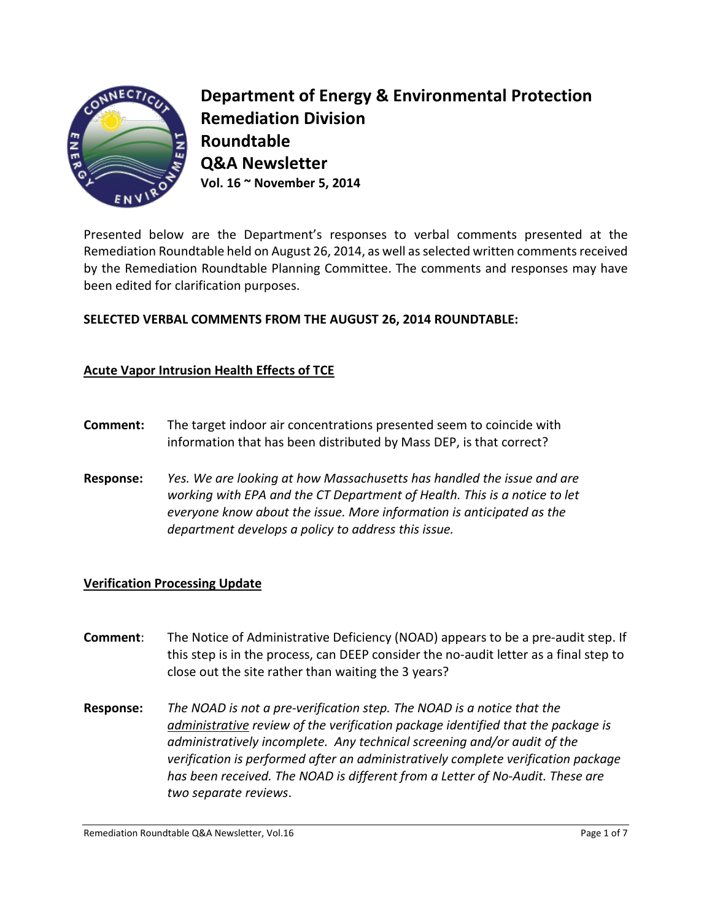

**Department of Energy & Environmental Protection Remediation Division Roundtable Q&A Newsletter Vol. 16 ~ November 5, 2014**

Presented below are the Department's responses to verbal comments presented at the Remediation Roundtable held on August 26, 2014, as well as selected written comments received by the Remediation Roundtable Planning Committee. The comments and responses may have been edited for clarification purposes.

# **SELECTED VERBAL COMMENTS FROM THE AUGUST 26, 2014 ROUNDTABLE:**

## **Acute Vapor Intrusion Health Effects of TCE**

- **Comment:** The target indoor air concentrations presented seem to coincide with information that has been distributed by Mass DEP, is that correct?
- **Response:** *Yes. We are looking at how Massachusetts has handled the issue and are working with EPA and the CT Department of Health. This is a notice to let everyone know about the issue. More information is anticipated as the department develops a policy to address this issue.*

### **Verification Processing Update**

- **Comment**: The Notice of Administrative Deficiency (NOAD) appears to be a pre-audit step. If this step is in the process, can DEEP consider the no-audit letter as a final step to close out the site rather than waiting the 3 years?
- **Response:** *The NOAD is not a pre-verification step. The NOAD is a notice that the administrative review of the verification package identified that the package is administratively incomplete. Any technical screening and/or audit of the verification is performed after an administratively complete verification package has been received. The NOAD is different from a Letter of No-Audit. These are two separate reviews*.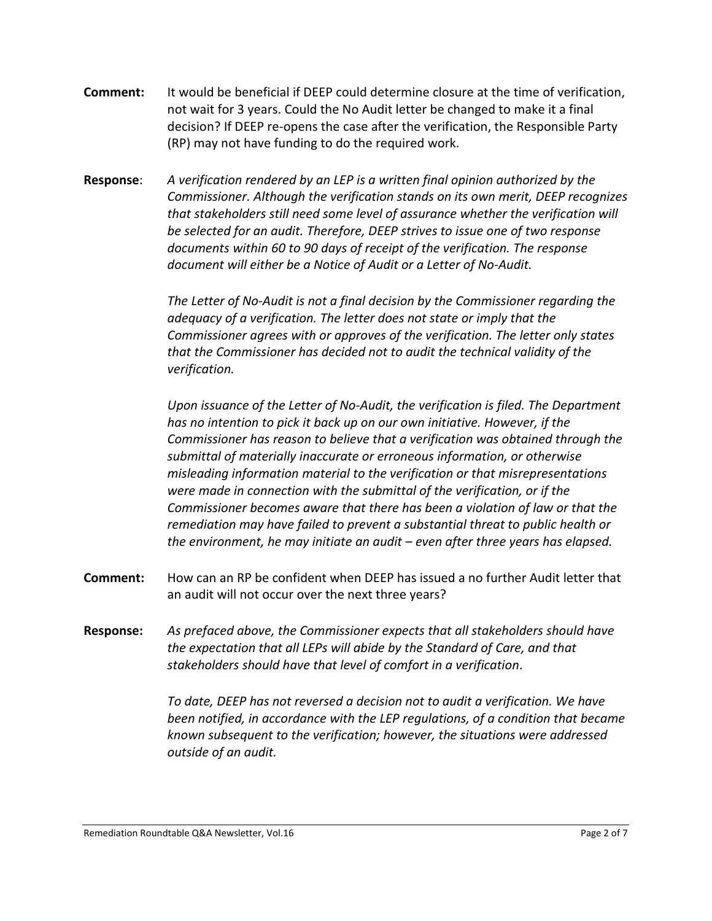- **Comment:** It would be beneficial if DEEP could determine closure at the time of verification, not wait for 3 years. Could the No Audit letter be changed to make it a final decision? If DEEP re-opens the case after the verification, the Responsible Party (RP) may not have funding to do the required work.
- **Response**: *A verification rendered by an LEP is a written final opinion authorized by the Commissioner. Although the verification stands on its own merit, DEEP recognizes that stakeholders still need some level of assurance whether the verification will be selected for an audit. Therefore, DEEP strives to issue one of two response documents within 60 to 90 days of receipt of the verification. The response document will either be a Notice of Audit or a Letter of No-Audit.*

*The Letter of No-Audit is not a final decision by the Commissioner regarding the adequacy of a verification. The letter does not state or imply that the Commissioner agrees with or approves of the verification. The letter only states that the Commissioner has decided not to audit the technical validity of the verification.* 

*Upon issuance of the Letter of No-Audit, the verification is filed. The Department has no intention to pick it back up on our own initiative. However, if the Commissioner has reason to believe that a verification was obtained through the submittal of materially inaccurate or erroneous information, or otherwise misleading information material to the verification or that misrepresentations were made in connection with the submittal of the verification, or if the Commissioner becomes aware that there has been a violation of law or that the remediation may have failed to prevent a substantial threat to public health or the environment, he may initiate an audit – even after three years has elapsed.*

- **Comment:** How can an RP be confident when DEEP has issued a no further Audit letter that an audit will not occur over the next three years?
- **Response:** *As prefaced above, the Commissioner expects that all stakeholders should have the expectation that all LEPs will abide by the Standard of Care, and that stakeholders should have that level of comfort in a verification*.

*To date, DEEP has not reversed a decision not to audit a verification. We have been notified, in accordance with the LEP regulations, of a condition that became known subsequent to the verification; however, the situations were addressed outside of an audit.*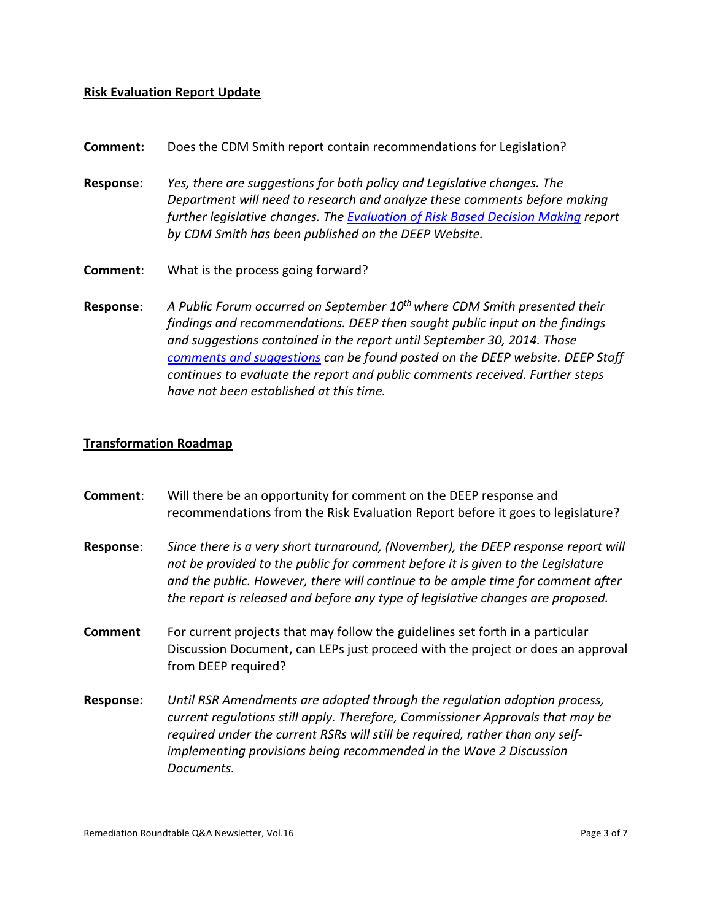#### **Risk Evaluation Report Update**

- **Comment:** Does the CDM Smith report contain recommendations for Legislation?
- **Response**: *Yes, there are suggestions for both policy and Legislative changes. The Department will need to research and analyze these comments before making further legislative changes. The [Evaluation of Risk Based Decision Making](http://www.ct.gov/deep/cwp/view.asp?a=2715&q=541998&deepNav_GID=1626) report by CDM Smith has been published on the DEEP Website.*
- **Comment**: What is the process going forward?
- **Response**: *A Public Forum occurred on September 10th where CDM Smith presented their findings and recommendations. DEEP then sought public input on the findings and suggestions contained in the report until September 30, 2014. Those [comments and suggestions](http://www.ct.gov/deep/cwp/view.asp?a=2715&q=541998&deepNav_GID=1626) can be found posted on the DEEP website. DEEP Staff continues to evaluate the report and public comments received. Further steps have not been established at this time.*

#### **Transformation Roadmap**

| Comment:         | Will there be an opportunity for comment on the DEEP response and<br>recommendations from the Risk Evaluation Report before it goes to legislature?                                                                                                                                                                                        |
|------------------|--------------------------------------------------------------------------------------------------------------------------------------------------------------------------------------------------------------------------------------------------------------------------------------------------------------------------------------------|
| <b>Response:</b> | Since there is a very short turnaround, (November), the DEEP response report will<br>not be provided to the public for comment before it is given to the Legislature<br>and the public. However, there will continue to be ample time for comment after<br>the report is released and before any type of legislative changes are proposed. |
| <b>Comment</b>   | For current projects that may follow the guidelines set forth in a particular<br>Discussion Document, can LEPs just proceed with the project or does an approval<br>from DEEP required?                                                                                                                                                    |
| Response:        | Until RSR Amendments are adopted through the regulation adoption process,<br>current regulations still apply. Therefore, Commissioner Approvals that may be<br>required under the current RSRs will still be required, rather than any self-<br>implementing provisions being recommended in the Wave 2 Discussion<br>Documents.           |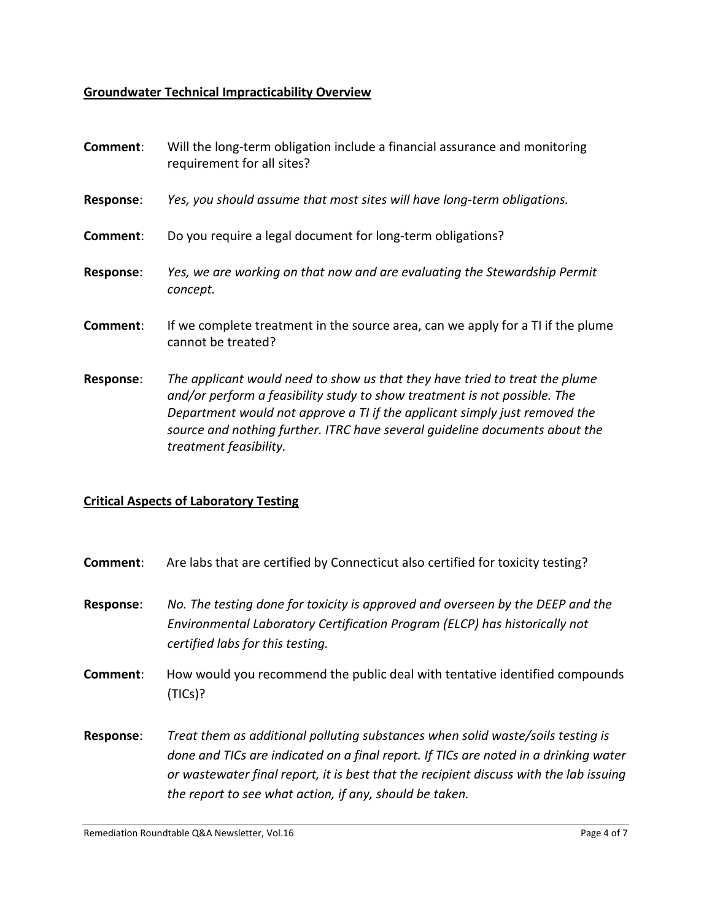# **Groundwater Technical Impracticability Overview**

| Comment:         | Will the long-term obligation include a financial assurance and monitoring<br>requirement for all sites?                                                                                                                                                                                                                                        |
|------------------|-------------------------------------------------------------------------------------------------------------------------------------------------------------------------------------------------------------------------------------------------------------------------------------------------------------------------------------------------|
| <b>Response:</b> | Yes, you should assume that most sites will have long-term obligations.                                                                                                                                                                                                                                                                         |
| Comment:         | Do you require a legal document for long-term obligations?                                                                                                                                                                                                                                                                                      |
| <b>Response:</b> | Yes, we are working on that now and are evaluating the Stewardship Permit<br>concept.                                                                                                                                                                                                                                                           |
| Comment:         | If we complete treatment in the source area, can we apply for a TI if the plume<br>cannot be treated?                                                                                                                                                                                                                                           |
| Response:        | The applicant would need to show us that they have tried to treat the plume<br>and/or perform a feasibility study to show treatment is not possible. The<br>Department would not approve a TI if the applicant simply just removed the<br>source and nothing further. ITRC have several quideline documents about the<br>treatment feasibility. |

# **Critical Aspects of Laboratory Testing**

| Comment:  | Are labs that are certified by Connecticut also certified for toxicity testing?                                                                                                                                                                                                                                              |
|-----------|------------------------------------------------------------------------------------------------------------------------------------------------------------------------------------------------------------------------------------------------------------------------------------------------------------------------------|
| Response: | No. The testing done for toxicity is approved and overseen by the DEEP and the<br>Environmental Laboratory Certification Program (ELCP) has historically not<br>certified labs for this testing.                                                                                                                             |
| Comment:  | How would you recommend the public deal with tentative identified compounds<br>(TICs)?                                                                                                                                                                                                                                       |
| Response: | Treat them as additional polluting substances when solid waste/soils testing is<br>done and TICs are indicated on a final report. If TICs are noted in a drinking water<br>or wastewater final report, it is best that the recipient discuss with the lab issuing<br>the report to see what action, if any, should be taken. |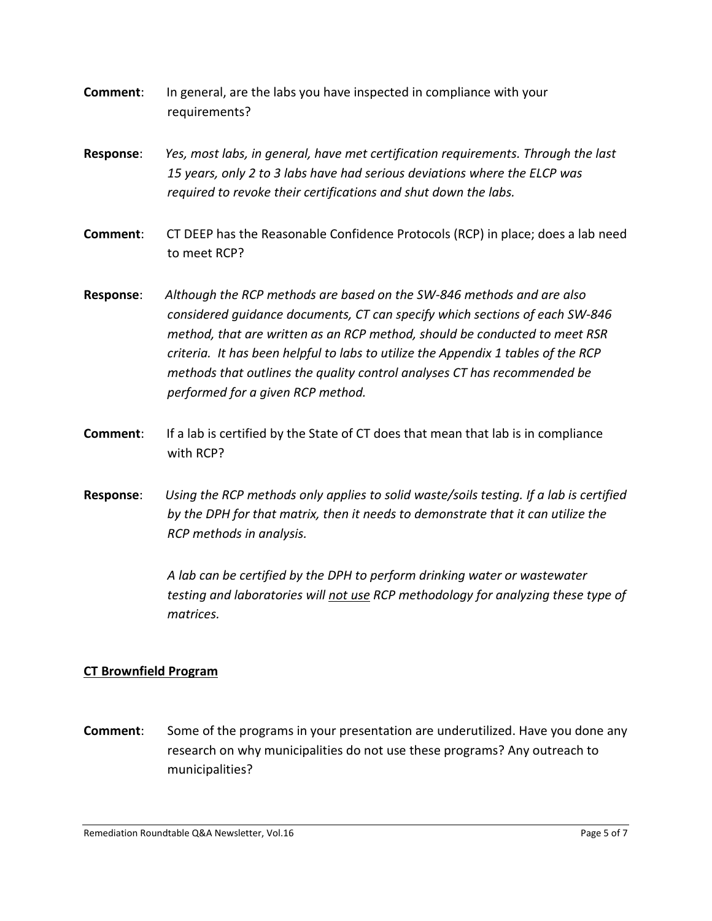- **Comment**: In general, are the labs you have inspected in compliance with your requirements?
- **Response**: *Yes, most labs, in general, have met certification requirements. Through the last 15 years, only 2 to 3 labs have had serious deviations where the ELCP was required to revoke their certifications and shut down the labs.*
- **Comment**: CT DEEP has the Reasonable Confidence Protocols (RCP) in place; does a lab need to meet RCP?
- **Response**: *Although the RCP methods are based on the SW-846 methods and are also considered guidance documents, CT can specify which sections of each SW-846 method, that are written as an RCP method, should be conducted to meet RSR criteria. It has been helpful to labs to utilize the Appendix 1 tables of the RCP methods that outlines the quality control analyses CT has recommended be performed for a given RCP method.*
- **Comment**: If a lab is certified by the State of CT does that mean that lab is in compliance with RCP?
- **Response**: *Using the RCP methods only applies to solid waste/soils testing. If a lab is certified by the DPH for that matrix, then it needs to demonstrate that it can utilize the RCP methods in analysis.*

*A lab can be certified by the DPH to perform drinking water or wastewater testing and laboratories will not use RCP methodology for analyzing these type of matrices.*

## **CT Brownfield Program**

**Comment**: Some of the programs in your presentation are underutilized. Have you done any research on why municipalities do not use these programs? Any outreach to municipalities?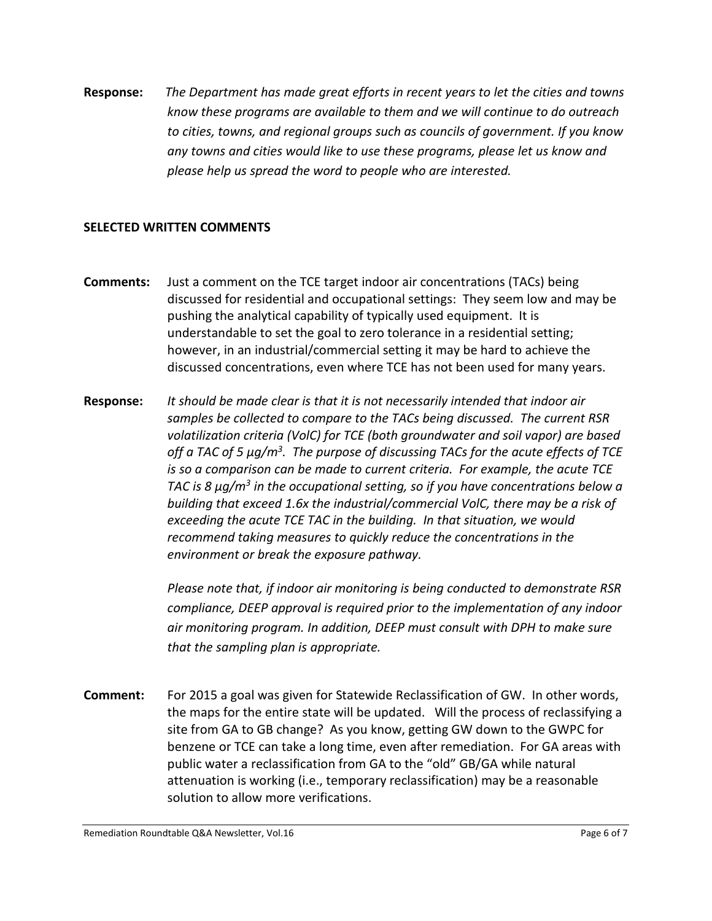**Response:** *The Department has made great efforts in recent years to let the cities and towns know these programs are available to them and we will continue to do outreach to cities, towns, and regional groups such as councils of government. If you know any towns and cities would like to use these programs, please let us know and please help us spread the word to people who are interested.* 

## **SELECTED WRITTEN COMMENTS**

- **Comments:** Just a comment on the TCE target indoor air concentrations (TACs) being discussed for residential and occupational settings: They seem low and may be pushing the analytical capability of typically used equipment. It is understandable to set the goal to zero tolerance in a residential setting; however, in an industrial/commercial setting it may be hard to achieve the discussed concentrations, even where TCE has not been used for many years.
- **Response:** *It should be made clear is that it is not necessarily intended that indoor air samples be collected to compare to the TACs being discussed. The current RSR volatilization criteria (VolC) for TCE (both groundwater and soil vapor) are based off a TAC of 5 µg/m3. The purpose of discussing TACs for the acute effects of TCE is so a comparison can be made to current criteria. For example, the acute TCE TAC is 8 µg/m3 in the occupational setting, so if you have concentrations below a building that exceed 1.6x the industrial/commercial VolC, there may be a risk of exceeding the acute TCE TAC in the building. In that situation, we would recommend taking measures to quickly reduce the concentrations in the environment or break the exposure pathway.*

*Please note that, if indoor air monitoring is being conducted to demonstrate RSR compliance, DEEP approval is required prior to the implementation of any indoor air monitoring program. In addition, DEEP must consult with DPH to make sure that the sampling plan is appropriate.*

**Comment:** For 2015 a goal was given for Statewide Reclassification of GW. In other words, the maps for the entire state will be updated. Will the process of reclassifying a site from GA to GB change? As you know, getting GW down to the GWPC for benzene or TCE can take a long time, even after remediation. For GA areas with public water a reclassification from GA to the "old" GB/GA while natural attenuation is working (i.e., temporary reclassification) may be a reasonable solution to allow more verifications.